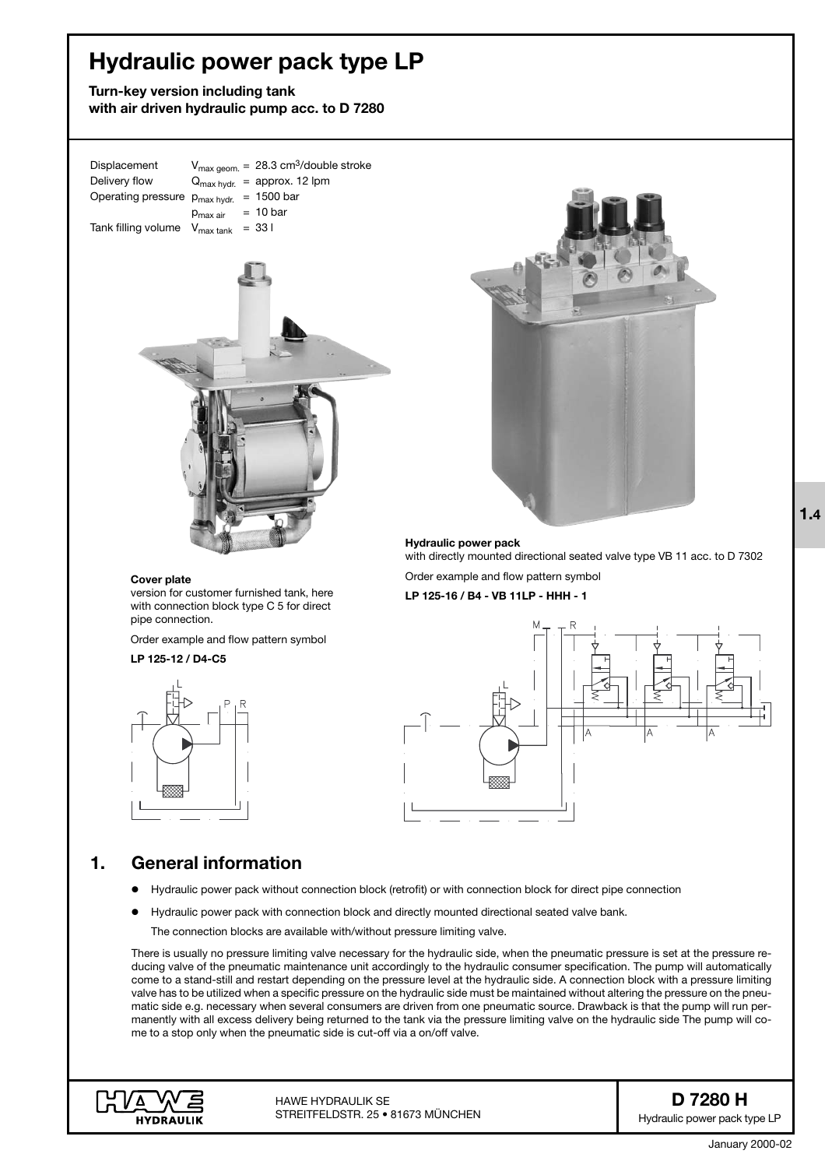# **Hydraulic power pack type LP**

**Turn-key version including tank with air driven hydraulic pump acc. to D 7280**

Displacement  $V_{\text{max geom.}} = 28.3 \text{ cm}^3/\text{double stroke}$ Delivery flow  $Q_{\text{max hydr.}} = \text{approx. 12 lpm}$ Operating pressure  $p_{max hydr.}$  = 1500 bar  $p_{max\ air}$  = 10 bar Tank filling volume  $V_{\text{max tank}} = 33$  l



#### **Cover plate**

version for customer furnished tank, here with connection block type C 5 for direct pipe connection.

Order example and flow pattern symbol

### **LP 125-12 / D4-C5**





**Hydraulic power pack** with directly mounted directional seated valve type VB 11 acc. to D 7302

Order example and flow pattern symbol

**LP 125-16 / B4 - VB 11LP - HHH - 1**



## **1. General information**

- $\bullet$ Hydraulic power pack without connection block (retrofit) or with connection block for direct pipe connection
- $\bullet$ Hydraulic power pack with connection block and directly mounted directional seated valve bank.

The connection blocks are available with/without pressure limiting valve.

There is usually no pressure limiting valve necessary for the hydraulic side, when the pneumatic pressure is set at the pressure reducing valve of the pneumatic maintenance unit accordingly to the hydraulic consumer specification. The pump will automatically come to a stand-still and restart depending on the pressure level at the hydraulic side. A connection block with a pressure limiting valve has to be utilized when a specific pressure on the hydraulic side must be maintained without altering the pressure on the pneumatic side e.g. necessary when several consumers are driven from one pneumatic source. Drawback is that the pump will run permanently with all excess delivery being returned to the tank via the pressure limiting valve on the hydraulic side The pump will come to a stop only when the pneumatic side is cut-off via a on/off valve.



**D 7280 H** Hydraulic power pack type LP **1.4**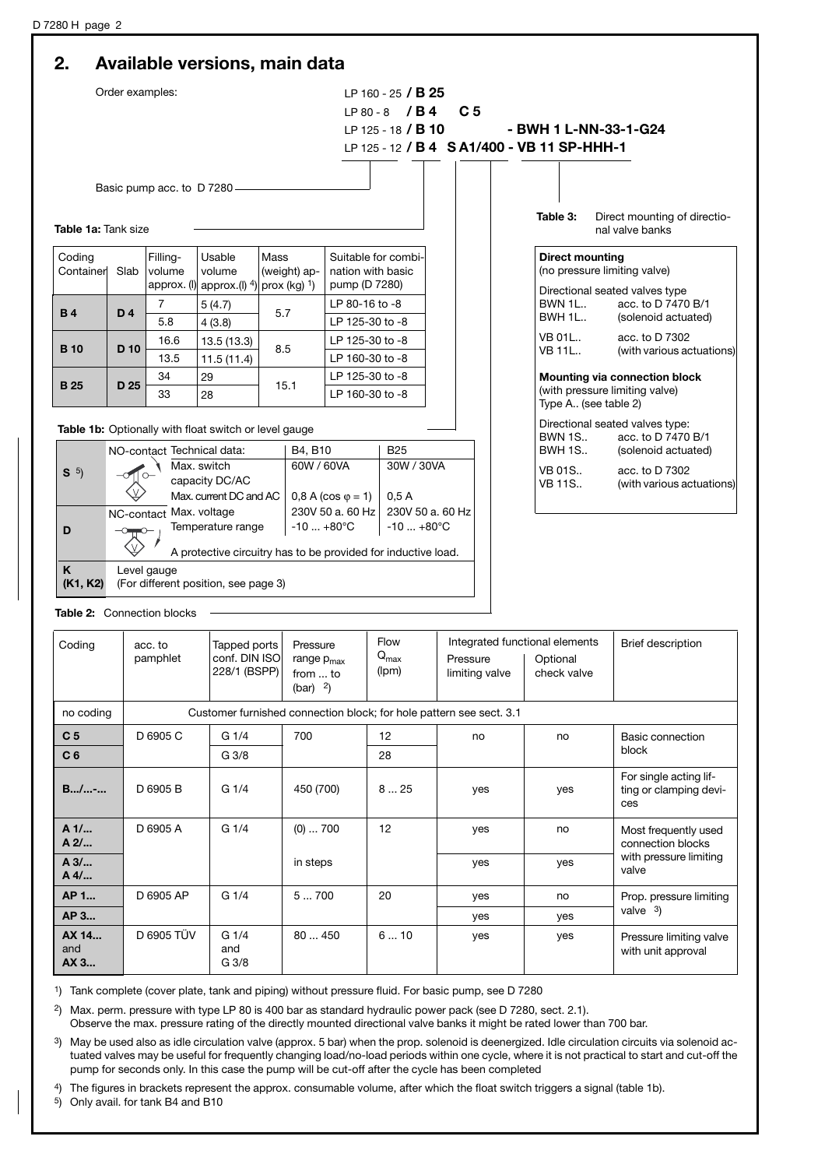|                      | Order examples:                                                                   |                             |                                                       |                        |                           |                                                   |                                                                     |                           |                                |                                |                        |                                                         |  |  |
|----------------------|-----------------------------------------------------------------------------------|-----------------------------|-------------------------------------------------------|------------------------|---------------------------|---------------------------------------------------|---------------------------------------------------------------------|---------------------------|--------------------------------|--------------------------------|------------------------|---------------------------------------------------------|--|--|
|                      |                                                                                   |                             |                                                       |                        | LP 160 - 25 / <b>B 25</b> |                                                   |                                                                     |                           |                                |                                |                        |                                                         |  |  |
|                      |                                                                                   |                             |                                                       |                        |                           |                                                   | $LP 80 - 8$ /B4                                                     | C <sub>5</sub>            |                                |                                |                        |                                                         |  |  |
|                      |                                                                                   |                             |                                                       |                        |                           |                                                   |                                                                     | LP 125 - 18 / <b>B 10</b> |                                |                                |                        | - BWH 1 L-NN-33-1-G24                                   |  |  |
|                      | LP 125 - 12 / B 4 S A1/400 - VB 11 SP-HHH-1                                       |                             |                                                       |                        |                           |                                                   |                                                                     |                           |                                |                                |                        |                                                         |  |  |
|                      |                                                                                   |                             |                                                       |                        |                           |                                                   |                                                                     |                           |                                |                                |                        |                                                         |  |  |
|                      |                                                                                   | Basic pump acc. to D 7280 - |                                                       |                        |                           |                                                   |                                                                     |                           |                                |                                |                        |                                                         |  |  |
|                      |                                                                                   |                             |                                                       |                        |                           |                                                   |                                                                     |                           |                                |                                |                        |                                                         |  |  |
| Table 1a: Tank size  |                                                                                   |                             |                                                       |                        |                           |                                                   |                                                                     |                           |                                | Table 3:                       |                        | Direct mounting of directio-<br>nal valve banks         |  |  |
| Coding<br>Container  | Slab                                                                              | Filling-<br>volume          | Usable<br>volume                                      | Mass<br>(weight) ap-   |                           | nation with basic                                 | Suitable for combi-                                                 |                           |                                |                                | <b>Direct mounting</b> | (no pressure limiting valve)                            |  |  |
|                      |                                                                                   |                             | approx. (I) approx. (I) $4$ )                         | prox (kg) $1$ )        |                           | pump (D 7280)                                     |                                                                     |                           |                                |                                |                        | Directional seated valves type                          |  |  |
|                      |                                                                                   | 7                           | 5(4.7)                                                |                        |                           | LP 80-16 to -8                                    |                                                                     |                           |                                |                                | <b>BWN 1L</b>          | acc. to D 7470 B/1                                      |  |  |
| <b>B4</b>            | D <sub>4</sub>                                                                    | 5.8                         | 4(3.8)                                                | 5.7                    |                           | LP 125-30 to -8                                   |                                                                     |                           |                                |                                | <b>BWH 1L</b>          | (solenoid actuated)                                     |  |  |
|                      |                                                                                   | 16.6                        | 13.5 (13.3)                                           |                        |                           | LP 125-30 to -8                                   |                                                                     |                           |                                | <b>VB 01L</b>                  |                        | acc. to D 7302                                          |  |  |
| <b>B</b> 10          | D <sub>10</sub>                                                                   | 13.5                        | 11.5(11.4)                                            | 8.5                    |                           | LP 160-30 to -8                                   |                                                                     |                           |                                |                                | <b>VB 11L</b>          | (with various actuations)                               |  |  |
|                      |                                                                                   | 34                          | 29                                                    | 15.1                   |                           | LP 125-30 to -8<br>LP 160-30 to -8                |                                                                     |                           |                                |                                |                        | Mounting via connection block                           |  |  |
| <b>B</b> 25          | D <sub>25</sub>                                                                   | 33                          | 28                                                    |                        |                           |                                                   |                                                                     |                           |                                | (with pressure limiting valve) |                        |                                                         |  |  |
|                      |                                                                                   |                             |                                                       |                        |                           |                                                   |                                                                     |                           |                                |                                | Type A (see table 2)   |                                                         |  |  |
|                      |                                                                                   |                             | Table 1b: Optionally with float switch or level gauge |                        |                           |                                                   |                                                                     |                           |                                |                                | <b>BWN 1S</b>          | Directional seated valves type:<br>acc. to D 7470 B/1   |  |  |
|                      |                                                                                   |                             | NO-contact Technical data:                            |                        |                           | <b>B25</b><br>B4, B10<br>60W / 60VA<br>30W / 30VA |                                                                     |                           |                                | <b>BWH 1S</b>                  |                        | (solenoid actuated)                                     |  |  |
| S <sup>5</sup>       | Max. switch                                                                       |                             |                                                       |                        |                           |                                                   |                                                                     |                           |                                |                                | <b>VB 01S</b>          | acc. to D 7302                                          |  |  |
|                      | capacity DC/AC                                                                    |                             |                                                       |                        | 0,5A                      |                                                   |                                                                     |                           | <b>VB 11S</b>                  | (with various actuations)      |                        |                                                         |  |  |
|                      | Max. current DC and AC<br>$0,8$ A (cos $\varphi = 1$ )<br>NC-contact Max. voltage |                             |                                                       |                        |                           |                                                   | 230V 50 a. 60 Hz<br>230V 50 a. 60 Hz                                |                           |                                |                                |                        |                                                         |  |  |
| D                    | $O - O -$                                                                         |                             | Temperature range                                     |                        | $-10+80^{\circ}C$         |                                                   | $-10+80^{\circ}C$                                                   |                           |                                |                                |                        |                                                         |  |  |
|                      |                                                                                   |                             |                                                       |                        |                           |                                                   |                                                                     |                           |                                |                                |                        |                                                         |  |  |
| K                    |                                                                                   | Level gauge                 |                                                       |                        |                           |                                                   | A protective circuitry has to be provided for inductive load.       |                           |                                |                                |                        |                                                         |  |  |
| (K1, K2)             |                                                                                   |                             | (For different position, see page 3)                  |                        |                           |                                                   |                                                                     |                           |                                |                                |                        |                                                         |  |  |
|                      |                                                                                   |                             |                                                       |                        |                           |                                                   |                                                                     |                           |                                |                                |                        |                                                         |  |  |
|                      |                                                                                   | Table 2: Connection blocks  |                                                       |                        |                           |                                                   |                                                                     |                           |                                |                                |                        |                                                         |  |  |
| Coding               |                                                                                   |                             |                                                       |                        | Pressure                  |                                                   | <b>Flow</b>                                                         |                           | Integrated functional elements |                                |                        | <b>Brief description</b>                                |  |  |
|                      | acc. to<br>pamphlet                                                               |                             | Tapped ports<br>conf. DIN ISO                         |                        |                           | $Q_{\text{max}}$<br>range $p_{max}$               |                                                                     | Pressure                  |                                | Optional                       |                        |                                                         |  |  |
|                      |                                                                                   |                             |                                                       | 228/1 (BSPP)           | from  to                  | (lpm)                                             |                                                                     | limiting valve            |                                | check valve                    |                        |                                                         |  |  |
|                      |                                                                                   |                             |                                                       | $(bar)$ <sup>2</sup> ) |                           |                                                   |                                                                     |                           |                                |                                |                        |                                                         |  |  |
| no coding            |                                                                                   |                             |                                                       |                        |                           |                                                   | Customer furnished connection block; for hole pattern see sect. 3.1 |                           |                                |                                |                        |                                                         |  |  |
| C <sub>5</sub>       |                                                                                   | D 6905 C<br>G 1/4           |                                                       |                        | 700<br>12                 |                                                   |                                                                     | no                        |                                | no                             |                        | Basic connection                                        |  |  |
| C <sub>6</sub>       |                                                                                   | G <sub>3/8</sub>            |                                                       |                        |                           | 28                                                |                                                                     |                           |                                |                                | block                  |                                                         |  |  |
|                      |                                                                                   |                             |                                                       |                        |                           |                                                   |                                                                     |                           |                                |                                |                        |                                                         |  |  |
| $B/$ -               |                                                                                   | D 6905 B<br>G 1/4           |                                                       | 450 (700)              |                           |                                                   | 825                                                                 | yes                       |                                |                                | yes                    | For single acting lif-<br>ting or clamping devi-<br>ces |  |  |
| A 1/<br>A 2/         |                                                                                   | G1/4<br>D 6905 A            |                                                       |                        | $(0) \ldots 700$<br>12    |                                                   |                                                                     | yes                       |                                |                                | no                     | Most frequently used<br>connection blocks               |  |  |
| A 3/<br>A 4/         |                                                                                   |                             |                                                       |                        | in steps                  |                                                   |                                                                     |                           | yes                            |                                | yes                    | with pressure limiting<br>valve                         |  |  |
| AP 1                 |                                                                                   | D 6905 AP                   | G 1/4                                                 | 5700                   |                           |                                                   | 20                                                                  | yes                       |                                |                                | no                     | Prop. pressure limiting                                 |  |  |
| AP 3                 |                                                                                   |                             |                                                       |                        |                           |                                                   |                                                                     | yes                       |                                |                                | yes                    | valve $3)$                                              |  |  |
| AX 14<br>and<br>AX 3 |                                                                                   | D 6905 TÜV                  | G 1/4<br>and<br>G 3/8                                 |                        | 80  450                   |                                                   | 610                                                                 | yes                       |                                |                                | yes                    | Pressure limiting valve<br>with unit approval           |  |  |

1) Tank complete (cover plate, tank and piping) without pressure fluid. For basic pump, see D 7280

2) Max. perm. pressure with type LP 80 is 400 bar as standard hydraulic power pack (see D 7280, sect. 2.1).

Observe the max. pressure rating of the directly mounted directional valve banks it might be rated lower than 700 bar.

<sup>3</sup>) May be used also as idle circulation valve (approx. 5 bar) when the prop. solenoid is deenergized. Idle circulation circuits via solenoid actuated valves may be useful for frequently changing load/no-load periods within one cycle, where it is not practical to start and cut-off the pump for seconds only. In this case the pump will be cut-off after the cycle has been completed

4) The figures in brackets represent the approx. consumable volume, after which the float switch triggers a signal (table 1b).

5) Only avail. for tank B4 and B10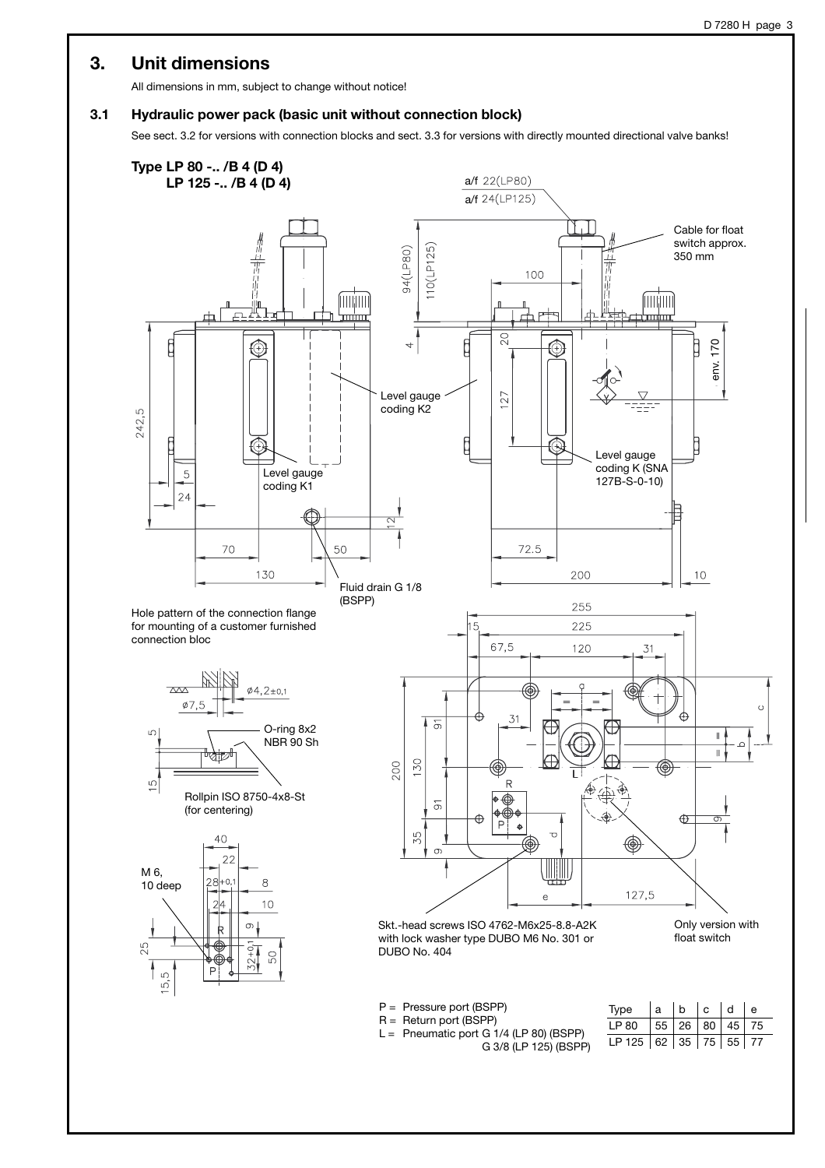### **3. Unit dimensions**

All dimensions in mm, subject to change without notice!

### **3.1 Hydraulic power pack (basic unit without connection block)**

See sect. 3.2 for versions with connection blocks and sect. 3.3 for versions with directly mounted directional valve banks!

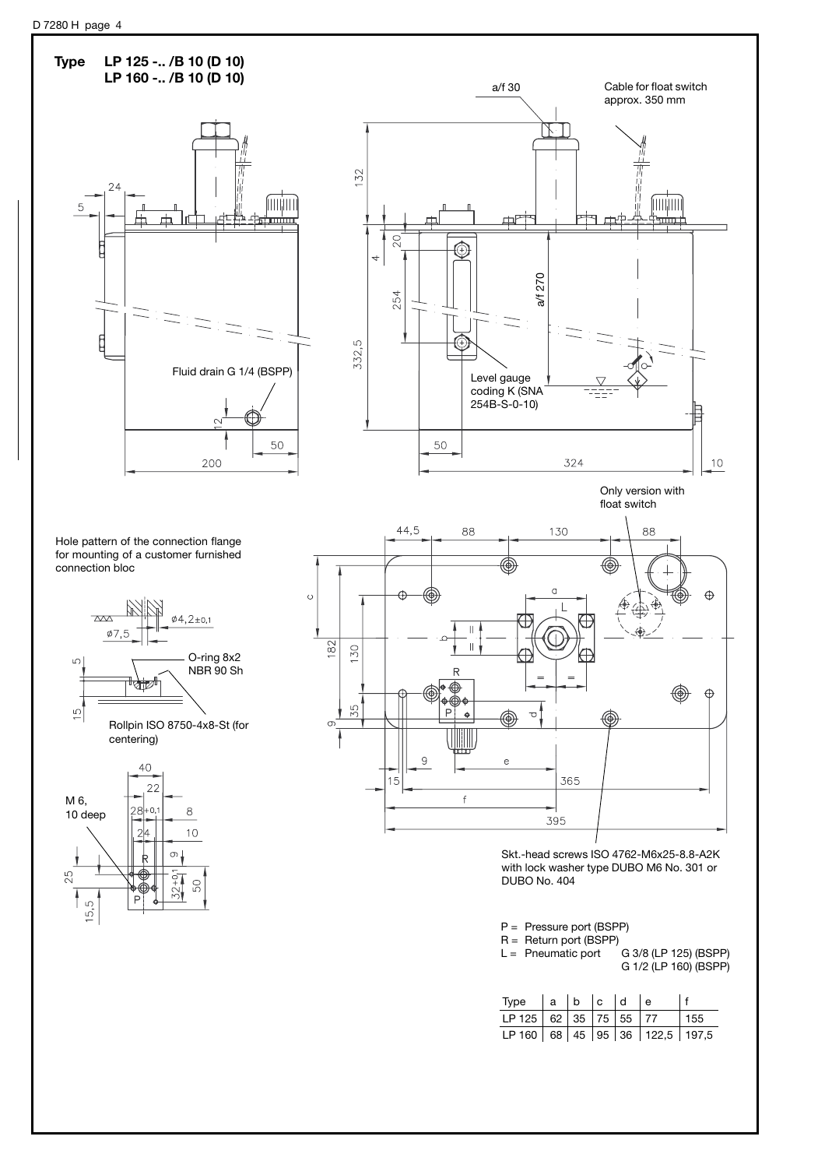

| <b>IVNG</b>                    | 1 Q 1 D 1 U 1 U |  |  |     |
|--------------------------------|-----------------|--|--|-----|
| LP 125 62 35 75 55 77          |                 |  |  | 155 |
| LP 160 68 45 95 36 122,5 197,5 |                 |  |  |     |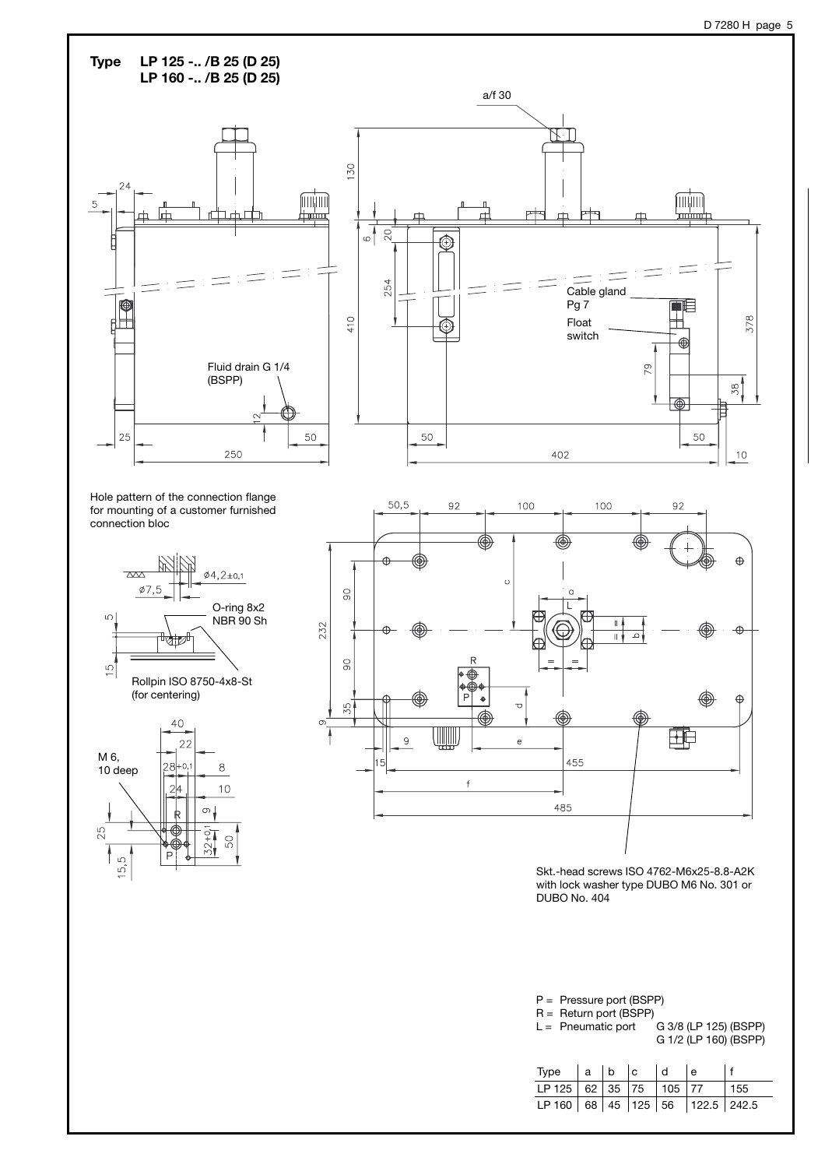

| Type $ a b c$                   |  | ld | l e |      |
|---------------------------------|--|----|-----|------|
| LP 125 62 35 75 105 77          |  |    |     | 1155 |
| LP 160 68 45 125 56 122.5 242.5 |  |    |     |      |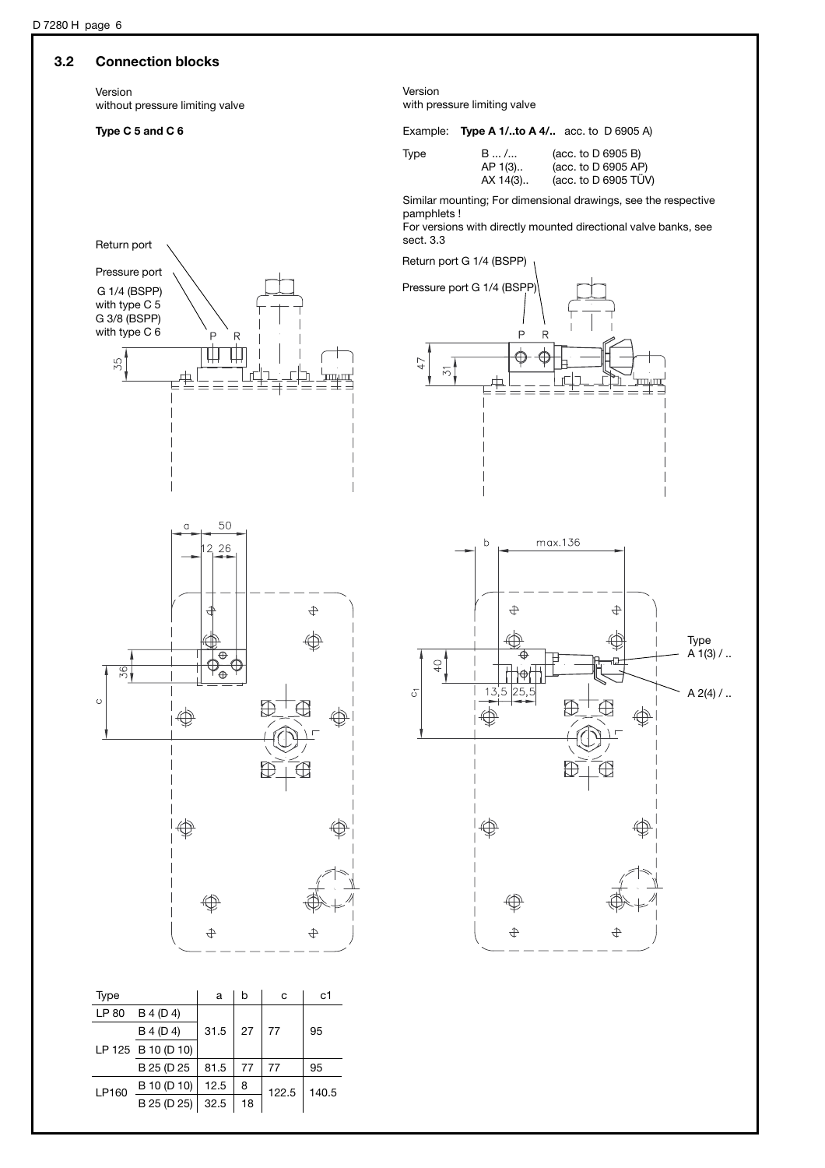### **3.2 Connection blocks**

Version without pressure limiting valve

Pressure port G 1/4 (BSPP) with type C 5 G 3/8 (BSPP) with type C 6

35

Version with pressure limiting valve

### **Type C 5 and C 6** Example: **Type A 1/..to A 4/..** acc. to D 6905 A)

| эe | в  |
|----|----|
|    | Al |
|    | Δ. |

Type B ... / ... (acc. to D 6905 B)<br>AP 1(3).. (acc. to D 6905 AP AP 1(3).. (acc. to D 6905 AP)<br>AX 14(3).. (acc. to D 6905 TÜV  $(\text{acc. to } D \ 6905 \ TÜV)$ 

Similar mounting; For dimensional drawings, see the respective pamphlets !

For versions with directly mounted directional valve banks, see **Sect. 3.3** Return port

Return port G 1/4 (BSPP)





 $\overline{P}$ R

₩ Ш

> $\mathsf{r}$ 三三三



| Type  |                    | a    | b  | c     | c1    |  |
|-------|--------------------|------|----|-------|-------|--|
| LP 80 | B 4 (D 4)          |      |    |       |       |  |
|       | B 4 (D 4)          | 31.5 | 27 | 77    | 95    |  |
|       | LP 125 B 10 (D 10) |      |    |       |       |  |
|       | B 25 (D 25         | 81.5 | 77 | 77    | 95    |  |
| LP160 | B 10 (D 10)        | 12.5 | 8  | 122.5 | 140.5 |  |
|       | B 25 (D 25)        | 32.5 | 18 |       |       |  |
|       |                    |      |    |       |       |  |